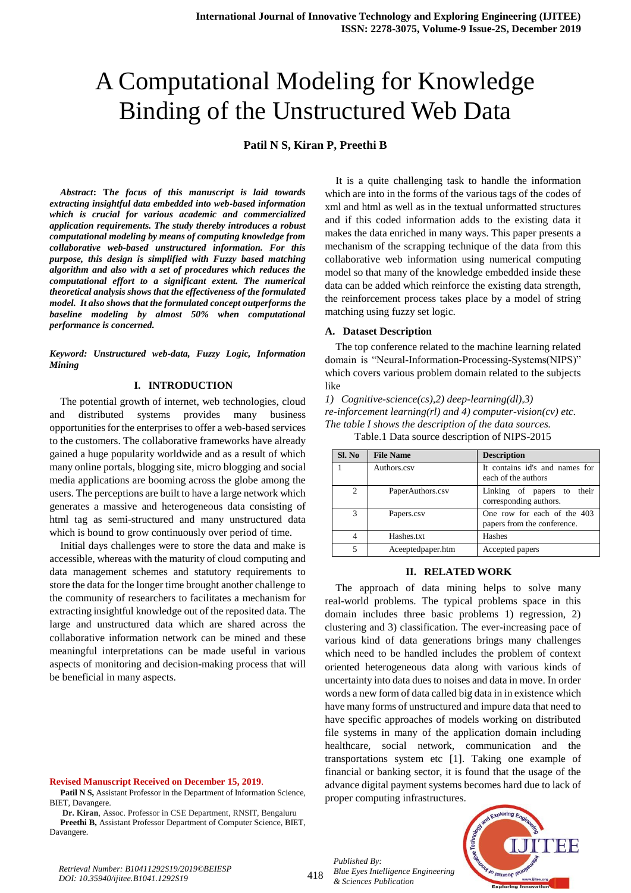# A Computational Modeling for Knowledge Binding of the Unstructured Web Data

# **Patil N S, Kiran P, Preethi B**

*Abstract***: T***he focus of this manuscript is laid towards extracting insightful data embedded into web-based information which is crucial for various academic and commercialized application requirements. The study thereby introduces a robust computational modeling by means of computing knowledge from collaborative web-based unstructured information. For this purpose, this design is simplified with Fuzzy based matching algorithm and also with a set of procedures which reduces the computational effort to a significant extent. The numerical theoretical analysis shows that the effectiveness of the formulated model. It also shows that the formulated concept outperforms the baseline modeling by almost 50% when computational performance is concerned.*

*Keyword: Unstructured web-data, Fuzzy Logic, Information Mining* 

#### **I. INTRODUCTION**

The potential growth of internet, web technologies, cloud and distributed systems provides many business opportunities for the enterprises to offer a web-based services to the customers. The collaborative frameworks have already gained a huge popularity worldwide and as a result of which many online portals, blogging site, micro blogging and social media applications are booming across the globe among the users. The perceptions are built to have a large network which generates a massive and heterogeneous data consisting of html tag as semi-structured and many unstructured data which is bound to grow continuously over period of time.

Initial days challenges were to store the data and make is accessible, whereas with the maturity of cloud computing and data management schemes and statutory requirements to store the data for the longer time brought another challenge to the community of researchers to facilitates a mechanism for extracting insightful knowledge out of the reposited data. The large and unstructured data which are shared across the collaborative information network can be mined and these meaningful interpretations can be made useful in various aspects of monitoring and decision-making process that will be beneficial in many aspects.

**Revised Manuscript Received on December 15, 2019**.

**Patil N S,** Assistant Professor in the Department of Information Science, BIET, Davangere.

**Dr. Kiran**, Assoc. Professor in CSE Department, RNSIT, Bengaluru **Preethi B,** Assistant Professor Department of Computer Science, BIET, Davangere.

It is a quite challenging task to handle the information which are into in the forms of the various tags of the codes of xml and html as well as in the textual unformatted structures and if this coded information adds to the existing data it makes the data enriched in many ways. This paper presents a mechanism of the scrapping technique of the data from this collaborative web information using numerical computing model so that many of the knowledge embedded inside these data can be added which reinforce the existing data strength, the reinforcement process takes place by a model of string matching using fuzzy set logic.

#### **A. Dataset Description**

The top conference related to the machine learning related domain is "Neural-Information-Processing-Systems(NIPS)" which covers various problem domain related to the subjects like

*1) Cognitive-science(cs),2) deep-learning(dl),3) re-inforcement learning(rl) and 4) computer-vision(cv) etc. The table I shows the description of the data sources.*

Table.1 Data source description of NIPS-2015

| Sl. No                      | <b>File Name</b>  | <b>Description</b>                                         |
|-----------------------------|-------------------|------------------------------------------------------------|
|                             | Authors.csv       | It contains id's and names for<br>each of the authors      |
| $\mathcal{D}_{\mathcal{A}}$ | PaperAuthors.csv  | Linking of papers to their<br>corresponding authors.       |
| $\mathcal{R}$               | Papers.csv        | One row for each of the 403<br>papers from the conference. |
|                             | Hashes.txt        | Hashes                                                     |
| 5                           | Aceeptedpaper.htm | Accepted papers                                            |

#### **II. RELATED WORK**

The approach of data mining helps to solve many real-world problems. The typical problems space in this domain includes three basic problems 1) regression, 2) clustering and 3) classification. The ever-increasing pace of various kind of data generations brings many challenges which need to be handled includes the problem of context oriented heterogeneous data along with various kinds of uncertainty into data dues to noises and data in move. In order words a new form of data called big data in in existence which have many forms of unstructured and impure data that need to have specific approaches of models working on distributed file systems in many of the application domain including healthcare, social network, communication and the transportations system etc [1]. Taking one example of financial or banking sector, it is found that the usage of the advance digital payment systems becomes hard due to lack of proper computing infrastructures.



418

*Published By:*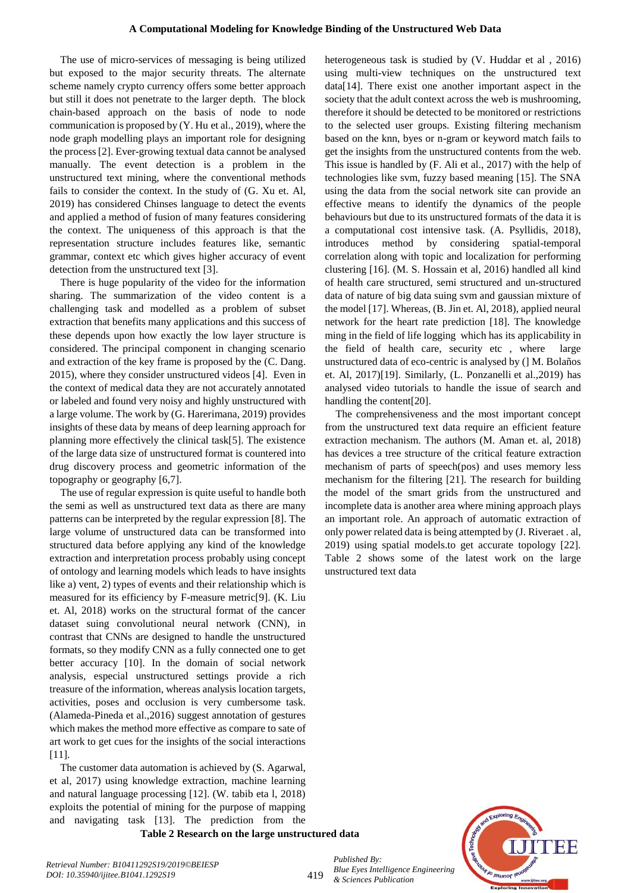The use of micro-services of messaging is being utilized but exposed to the major security threats. The alternate scheme namely crypto currency offers some better approach but still it does not penetrate to the larger depth. The block chain-based approach on the basis of node to node communication is proposed by (Y. Hu et al., 2019), where the node graph modelling plays an important role for designing the process [2]. Ever-growing textual data cannot be analysed manually. The event detection is a problem in the unstructured text mining, where the conventional methods fails to consider the context. In the study of (G. Xu et. Al, 2019) has considered Chinses language to detect the events and applied a method of fusion of many features considering the context. The uniqueness of this approach is that the representation structure includes features like, semantic grammar, context etc which gives higher accuracy of event detection from the unstructured text [3].

There is huge popularity of the video for the information sharing. The summarization of the video content is a challenging task and modelled as a problem of subset extraction that benefits many applications and this success of these depends upon how exactly the low layer structure is considered. The principal component in changing scenario and extraction of the key frame is proposed by the (C. Dang. 2015), where they consider unstructured videos [4]. Even in the context of medical data they are not accurately annotated or labeled and found very noisy and highly unstructured with a large volume. The work by (G. Harerimana, 2019) provides insights of these data by means of deep learning approach for planning more effectively the clinical task[5]. The existence of the large data size of unstructured format is countered into drug discovery process and geometric information of the topography or geography [6,7].

The use of regular expression is quite useful to handle both the semi as well as unstructured text data as there are many patterns can be interpreted by the regular expression [8]. The large volume of unstructured data can be transformed into structured data before applying any kind of the knowledge extraction and interpretation process probably using concept of ontology and learning models which leads to have insights like a) vent, 2) types of events and their relationship which is measured for its efficiency by F-measure metric[9]. (K. Liu et. Al, 2018) works on the structural format of the cancer dataset suing convolutional neural network (CNN), in contrast that CNNs are designed to handle the unstructured formats, so they modify CNN as a fully connected one to get better accuracy [10]. In the domain of social network analysis, especial unstructured settings provide a rich treasure of the information, whereas analysis location targets, activities, poses and occlusion is very cumbersome task. (Alameda-Pineda et al.,2016) suggest annotation of gestures which makes the method more effective as compare to sate of art work to get cues for the insights of the social interactions  $[11]$ .

The customer data automation is achieved by (S. Agarwal, et al, 2017) using knowledge extraction, machine learning and natural language processing [12]. (W. tabib eta l, 2018) exploits the potential of mining for the purpose of mapping and navigating task [13]. The prediction from the heterogeneous task is studied by (V. Huddar et al , 2016) using multi-view techniques on the unstructured text data[14]. There exist one another important aspect in the society that the adult context across the web is mushrooming, therefore it should be detected to be monitored or restrictions to the selected user groups. Existing filtering mechanism based on the knn, byes or n-gram or keyword match fails to get the insights from the unstructured contents from the web. This issue is handled by (F. Ali et al., 2017) with the help of technologies like svm, fuzzy based meaning [15]. The SNA using the data from the social network site can provide an effective means to identify the dynamics of the people behaviours but due to its unstructured formats of the data it is a computational cost intensive task. (A. Psyllidis, 2018), introduces method by considering spatial-temporal correlation along with topic and localization for performing clustering [16]. (M. S. Hossain et al, 2016) handled all kind of health care structured, semi structured and un-structured data of nature of big data suing svm and gaussian mixture of the model [17]. Whereas, (B. Jin et. Al, 2018), applied neural network for the heart rate prediction [18]. The knowledge ming in the field of life logging which has its applicability in the field of health care, security etc , where large unstructured data of eco-centric is analysed by (] M. Bolaños et. Al, 2017)[19]. Similarly, (L. Ponzanelli et al.,2019) has analysed video tutorials to handle the issue of search and handling the content[20].

The comprehensiveness and the most important concept from the unstructured text data require an efficient feature extraction mechanism. The authors (M. Aman et. al, 2018) has devices a tree structure of the critical feature extraction mechanism of parts of speech(pos) and uses memory less mechanism for the filtering [21]. The research for building the model of the smart grids from the unstructured and incomplete data is another area where mining approach plays an important role. An approach of automatic extraction of only power related data is being attempted by (J. Riveraet . al, 2019) using spatial models.to get accurate topology [22]. Table 2 shows some of the latest work on the large unstructured text data

**Table 2 Research on the large unstructured data**

419 *Published By: Blue Eyes Intelligence Engineering & Sciences Publication* 

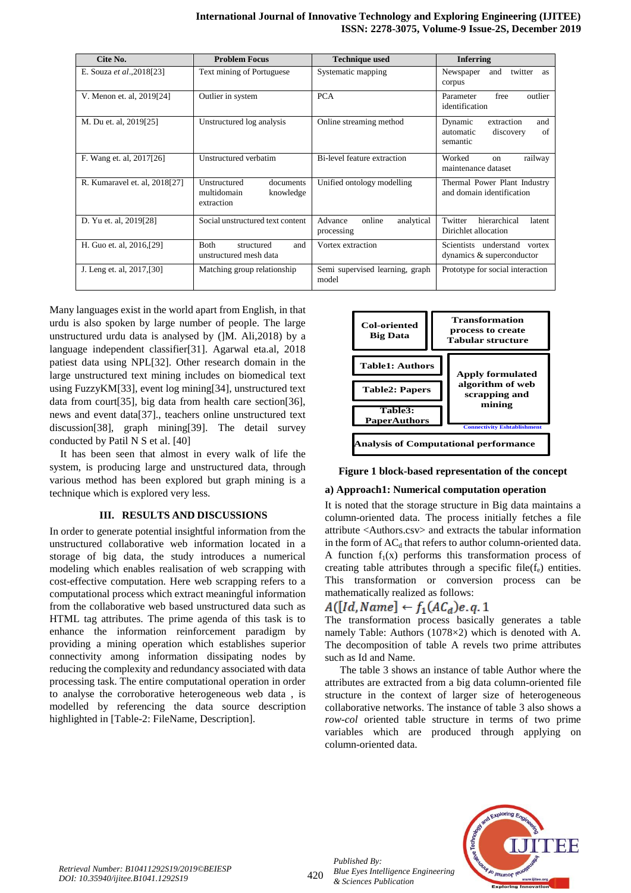| Cite No.                      | <b>Problem Focus</b>                                                | <b>Technique used</b>                         | <b>Inferring</b>                                                         |  |
|-------------------------------|---------------------------------------------------------------------|-----------------------------------------------|--------------------------------------------------------------------------|--|
| E. Souza et al., 2018[23]     | Text mining of Portuguese                                           | Systematic mapping                            | twitter<br>Newspaper<br>and<br>as<br>corpus                              |  |
| V. Menon et. al, 2019[24]     | Outlier in system                                                   | <b>PCA</b>                                    | free<br>outlier<br>Parameter<br>identification                           |  |
| M. Du et. al, 2019[25]        | Unstructured log analysis                                           | Online streaming method                       | Dynamic<br>extraction<br>and<br>of<br>automatic<br>discovery<br>semantic |  |
| F. Wang et. al, 2017[26]      | Unstructured verbatim                                               | Bi-level feature extraction                   | Worked<br>railway<br>$_{\rm on}$<br>maintenance dataset                  |  |
| R. Kumaravel et. al, 2018[27] | Unstructured<br>documents<br>multidomain<br>knowledge<br>extraction | Unified ontology modelling                    | Thermal Power Plant Industry<br>and domain identification                |  |
| D. Yu et. al, 2019[28]        | Social unstructured text content                                    | Advance<br>online<br>analytical<br>processing | Twitter<br>hierarchical<br>latent<br>Dirichlet allocation                |  |
| H. Guo et. al, 2016, [29]     | <b>B</b> oth<br>and<br>structured<br>unstructured mesh data         | Vortex extraction                             | Scientists understand<br>vortex<br>dynamics & superconductor             |  |
| J. Leng et. al, 2017, [30]    | Matching group relationship                                         | Semi supervised learning, graph<br>model      | Prototype for social interaction                                         |  |

Many languages exist in the world apart from English, in that urdu is also spoken by large number of people. The large unstructured urdu data is analysed by (]M. Ali,2018) by a language independent classifier[31]. Agarwal eta.al, 2018 patiest data using NPL[32]. Other research domain in the large unstructured text mining includes on biomedical text using FuzzyKM[33], event log mining[34], unstructured text data from court[35], big data from health care section[36], news and event data[37]., teachers online unstructured text discussion[38], graph mining[39]. The detail survey conducted by Patil N S et al. [40]

It has been seen that almost in every walk of life the system, is producing large and unstructured data, through various method has been explored but graph mining is a technique which is explored very less.

## **III. RESULTS AND DISCUSSIONS**

In order to generate potential insightful information from the unstructured collaborative web information located in a storage of big data, the study introduces a numerical modeling which enables realisation of web scrapping with cost-effective computation. Here web scrapping refers to a computational process which extract meaningful information from the collaborative web based unstructured data such as HTML tag attributes. The prime agenda of this task is to enhance the information reinforcement paradigm by providing a mining operation which establishes superior connectivity among information dissipating nodes by reducing the complexity and redundancy associated with data processing task. The entire computational operation in order to analyse the corroborative heterogeneous web data , is modelled by referencing the data source description highlighted in [Table-2: FileName, Description].





## **a) Approach1: Numerical computation operation**

It is noted that the storage structure in Big data maintains a column-oriented data. The process initially fetches a file attribute <Authors.csv> and extracts the tabular information in the form of  $AC_d$  that refers to author column-oriented data. A function  $f_1(x)$  performs this transformation process of creating table attributes through a specific file $(f_e)$  entities. This transformation or conversion process can be mathematically realized as follows:

# $A([Id, Name] \leftarrow f_1(AC_a)e.q.1$

The transformation process basically generates a table namely Table: Authors (1078×2) which is denoted with A. The decomposition of table A revels two prime attributes such as Id and Name.

The table 3 shows an instance of table Author where the attributes are extracted from a big data column-oriented file structure in the context of larger size of heterogeneous collaborative networks. The instance of table 3 also shows a *row-col* oriented table structure in terms of two prime variables which are produced through applying on column-oriented data.



420

*Published By:*

*& Sciences Publication* 

*Blue Eyes Intelligence Engineering*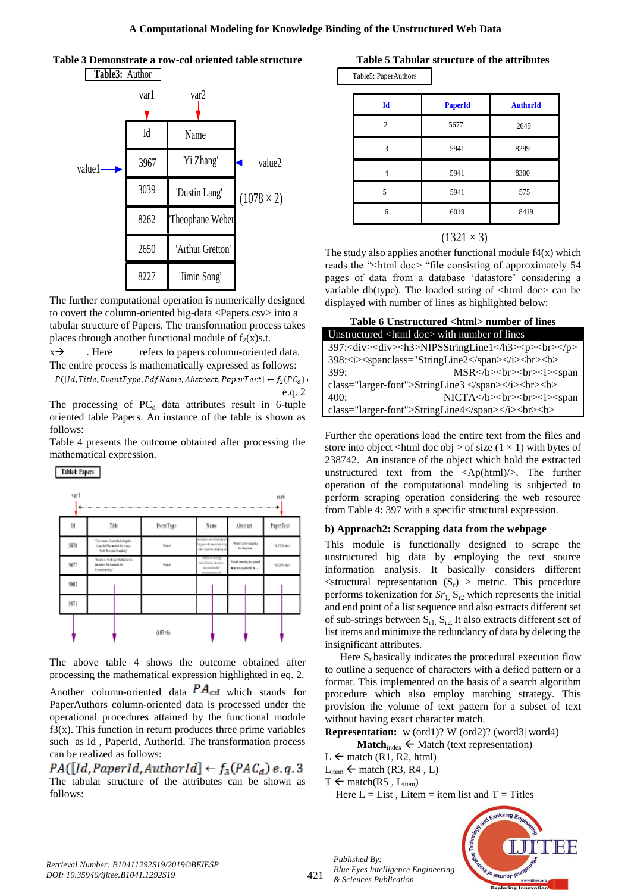#### **A Computational Modeling for Knowledge Binding of the Unstructured Web Data**

|                |  |  | Table 3 Demonstrate a row-col oriented table structure |
|----------------|--|--|--------------------------------------------------------|
| Table3: Author |  |  |                                                        |



The further computational operation is numerically designed to covert the column-oriented big-data <Papers.csv> into a tabular structure of Papers. The transformation process takes places through another functional module of  $f_2(x)$ s.t.

 $x \rightarrow$  . Here refers to papers column-oriented data. The entire process is mathematically expressed as follows:

 $P([Id, Title, EventType, PdfName, Abstract, PaperText] \leftarrow f_2(PC_d)$ e.q. 2

The processing of  $PC_d$  data attributes result in 6-tuple oriented table Papers. An instance of the table is shown as follows:

Table 4 presents the outcome obtained after processing the mathematical expression.

#### Table4: Papers



The above table 4 shows the outcome obtained after processing the mathematical expression highlighted in eq. 2.

Another column-oriented data  $PA_{cd}$  which stands for PaperAuthors column-oriented data is processed under the operational procedures attained by the functional module  $f3(x)$ . This function in return produces three prime variables such as Id , PaperId, AuthorId. The transformation process can be realized as follows:

 $PA([Id, PaperId, AuthorId] \leftarrow f_3(PAC_d) e.q.3$ The tabular structure of the attributes can be shown as follows:

**Table 5 Tabular structure of the attributes**

Table5: PaperAuthors

| Id             | <b>PaperId</b> | <b>AuthorId</b> |
|----------------|----------------|-----------------|
| $\mathfrak{D}$ | 5677           | 2649            |
| 3              | 5941           | 8299            |
|                | 5941           | 8300            |
| 5              | 5941           | 575             |
| 6              | 6019           | 8419            |

#### $(1321 \times 3)$

The study also applies another functional module  $f(x)$  which reads the "<html doc> "file consisting of approximately 54 pages of data from a database "datastore" considering a variable db(type). The loaded string of  $\lt$ html doc $>$  can be displayed with number of lines as highlighted below:

| Table 6 Unstructured <html> number of lines</html> |  |  |
|----------------------------------------------------|--|--|
|                                                    |  |  |

| Unstructured <html doc=""> with number of lines</html>                           |                                           |  |  |
|----------------------------------------------------------------------------------|-------------------------------------------|--|--|
| 397: <div><div><h3>NIPSStringLine1</h3><p><br/><br/>&gt;&gt;&gt;</p></div></div> |                                           |  |  |
| 398: <i><spanclass="stringline2< span=""></spanclass="stringline2<></i> >        |                                           |  |  |
| 399:                                                                             | MSR<br><br><i><span< td=""></span<></i>   |  |  |
| class="larger-font">StringLine3 ><br>b>                                          |                                           |  |  |
| 400:                                                                             | NICTA<br><br><i><span< td=""></span<></i> |  |  |
| class="larger-font">StringLine4><br>b>                                           |                                           |  |  |

Further the operations load the entire text from the files and store into object  $\langle$ html doc obj  $>$  of size (1  $\times$  1) with bytes of 238742. An instance of the object which hold the extracted unstructured text from the  $\langle Ap(html)\rangle$ . The further operation of the computational modeling is subjected to perform scraping operation considering the web resource from Table 4: 397 with a specific structural expression.

#### **b) Approach2: Scrapping data from the webpage**

This module is functionally designed to scrape the unstructured big data by employing the text source information analysis. It basically considers different  $\le$ structural representation  $(S_r)$  > metric. This procedure performs tokenization for  $Sr<sub>1</sub>, S<sub>r2</sub>$  which represents the initial and end point of a list sequence and also extracts different set of sub-strings between  $S_{r1}$ ,  $S_{r2}$ . It also extracts different set of list items and minimize the redundancy of data by deleting the insignificant attributes.

Here  $S_r$  basically indicates the procedural execution flow to outline a sequence of characters with a defied pattern or a format. This implemented on the basis of a search algorithm procedure which also employ matching strategy. This provision the volume of text pattern for a subset of text without having exact character match.

**Representation:** w (ord1)? W (ord2)? (word3| word4)

**Match**<sub>index</sub>  $\leftarrow$  Match (text representation)

 $L \leftarrow$  match (R1, R2, html)

 $L_{\text{item}} \leftarrow \text{match}$  (R3, R4, L)

*Blue Eyes Intelligence Engineering* 

*Published By:*

*& Sciences Publication* 

 $T \leftarrow$  match(R5, L<sub>item</sub>) Here  $L = List$ , Litem = item list and  $T = Titles$ 



421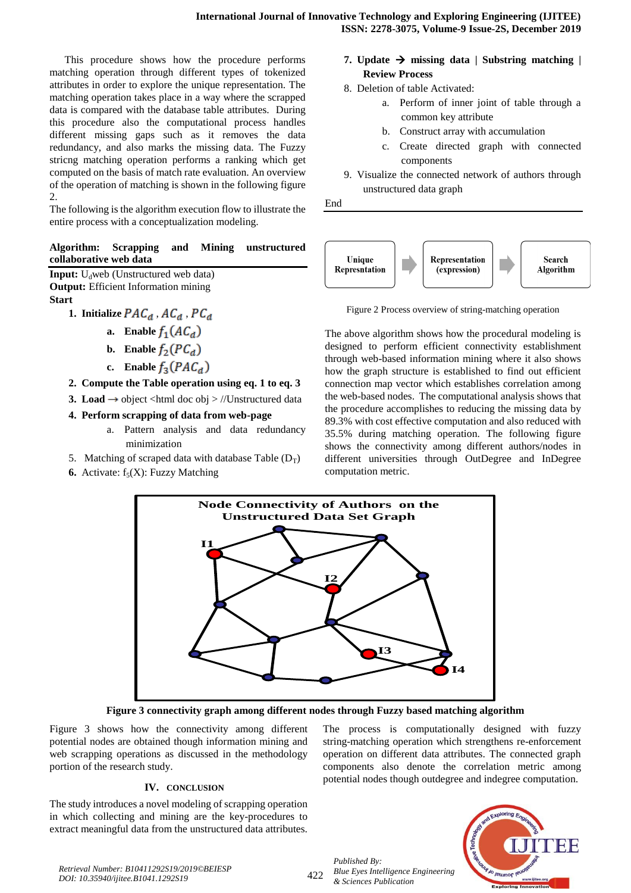This procedure shows how the procedure performs matching operation through different types of tokenized attributes in order to explore the unique representation. The matching operation takes place in a way where the scrapped data is compared with the database table attributes. During this procedure also the computational process handles different missing gaps such as it removes the data redundancy, and also marks the missing data. The Fuzzy stricng matching operation performs a ranking which get computed on the basis of match rate evaluation. An overview of the operation of matching is shown in the following figure 2.

The following is the algorithm execution flow to illustrate the entire process with a conceptualization modeling.

# **Algorithm: Scrapping and Mining unstructured collaborative web data**

**Input:** U<sub>d</sub>web (Unstructured web data) **Output: Efficient Information mining Start** 

- **1. Initialize**  $PAC_d$ ,  $AC_d$ ,  $PC_d$ 
	- a. **Enable**  $f_1(AC<sub>d</sub>)$
	- **b. Enable**  $f_2(PC_d)$
	- c. **Enable**  $f_3(PAC_d)$
- **2. Compute the Table operation using eq. 1 to eq. 3**
- **3.** Load  $\rightarrow$  object <html doc obj > //Unstructured data
- **4. Perform scrapping of data from web-page**
	- a. Pattern analysis and data redundancy minimization
- 5. Matching of scraped data with database Table  $(D_T)$
- **6.** Activate:  $f_5(X)$ : Fuzzy Matching

## **7. Update**  $\rightarrow$  **missing data | Substring matching | Review Process**

- 8. Deletion of table Activated:
	- a. Perform of inner joint of table through a common key attribute
	- b. Construct array with accumulation
	- c. Create directed graph with connected components
- 9. Visualize the connected network of authors through unstructured data graph

End



Figure 2 Process overview of string-matching operation

The above algorithm shows how the procedural modeling is designed to perform efficient connectivity establishment through web-based information mining where it also shows how the graph structure is established to find out efficient connection map vector which establishes correlation among the web-based nodes. The computational analysis shows that the procedure accomplishes to reducing the missing data by 89.3% with cost effective computation and also reduced with 35.5% during matching operation. The following figure shows the connectivity among different authors/nodes in different universities through OutDegree and InDegree computation metric.



**Figure 3 connectivity graph among different nodes through Fuzzy based matching algorithm**

Figure 3 shows how the connectivity among different potential nodes are obtained though information mining and web scrapping operations as discussed in the methodology portion of the research study.

#### **IV. CONCLUSION**

The study introduces a novel modeling of scrapping operation in which collecting and mining are the key-procedures to extract meaningful data from the unstructured data attributes. The process is computationally designed with fuzzy string-matching operation which strengthens re-enforcement operation on different data attributes. The connected graph components also denote the correlation metric among potential nodes though outdegree and indegree computation.

*Published By: Blue Eyes Intelligence Engineering & Sciences Publication* 



422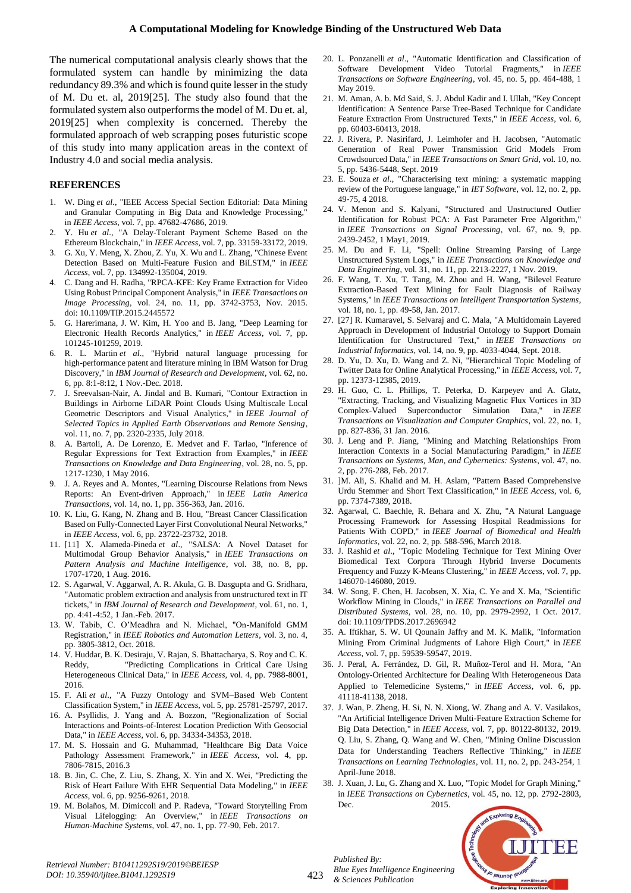The numerical computational analysis clearly shows that the formulated system can handle by minimizing the data redundancy 89.3% and which is found quite lesser in the study of M. Du et. al, 2019[25]. The study also found that the formulated system also outperforms the model of M. Du et. al, 2019[25] when complexity is concerned. Thereby the formulated approach of web scrapping poses futuristic scope of this study into many application areas in the context of Industry 4.0 and social media analysis.

#### **REFERENCES**

- 1. W. Ding *et al*., "IEEE Access Special Section Editorial: Data Mining and Granular Computing in Big Data and Knowledge Processing," in *IEEE Access*, vol. 7, pp. 47682-47686, 2019.
- 2. Y. Hu *et al*., "A Delay-Tolerant Payment Scheme Based on the Ethereum Blockchain," in *IEEE Access*, vol. 7, pp. 33159-33172, 2019.
- 3. G. Xu, Y. Meng, X. Zhou, Z. Yu, X. Wu and L. Zhang, "Chinese Event Detection Based on Multi-Feature Fusion and BiLSTM," in *IEEE Access*, vol. 7, pp. 134992-135004, 2019.
- 4. C. Dang and H. Radha, "RPCA-KFE: Key Frame Extraction for Video Using Robust Principal Component Analysis," in *IEEE Transactions on Image Processing*, vol. 24, no. 11, pp. 3742-3753, Nov. 2015. doi: 10.1109/TIP.2015.2445572
- 5. G. Harerimana, J. W. Kim, H. Yoo and B. Jang, "Deep Learning for Electronic Health Records Analytics," in *IEEE Access*, vol. 7, pp. 101245-101259, 2019.
- 6. R. L. Martin *et al*., "Hybrid natural language processing for high-performance patent and literature mining in IBM Watson for Drug Discovery," in *IBM Journal of Research and Development*, vol. 62, no. 6, pp. 8:1-8:12, 1 Nov.-Dec. 2018.
- 7. J. Sreevalsan-Nair, A. Jindal and B. Kumari, "Contour Extraction in Buildings in Airborne LiDAR Point Clouds Using Multiscale Local Geometric Descriptors and Visual Analytics," in *IEEE Journal of Selected Topics in Applied Earth Observations and Remote Sensing*, vol. 11, no. 7, pp. 2320-2335, July 2018.
- 8. A. Bartoli, A. De Lorenzo, E. Medvet and F. Tarlao, "Inference of Regular Expressions for Text Extraction from Examples," in *IEEE Transactions on Knowledge and Data Engineering*, vol. 28, no. 5, pp. 1217-1230, 1 May 2016.
- 9. J. A. Reyes and A. Montes, "Learning Discourse Relations from News Reports: An Event-driven Approach," in *IEEE Latin America Transactions*, vol. 14, no. 1, pp. 356-363, Jan. 2016.
- 10. K. Liu, G. Kang, N. Zhang and B. Hou, "Breast Cancer Classification Based on Fully-Connected Layer First Convolutional Neural Networks," in *IEEE Access*, vol. 6, pp. 23722-23732, 2018.
- 11. [11] X. Alameda-Pineda *et al*., "SALSA: A Novel Dataset for Multimodal Group Behavior Analysis," in *IEEE Transactions on Pattern Analysis and Machine Intelligence*, vol. 38, no. 8, pp. 1707-1720, 1 Aug. 2016.
- 12. S. Agarwal, V. Aggarwal, A. R. Akula, G. B. Dasgupta and G. Sridhara, "Automatic problem extraction and analysis from unstructured text in IT tickets," in *IBM Journal of Research and Development*, vol. 61, no. 1, pp. 4:41-4:52, 1 Jan.-Feb. 2017.
- 13. W. Tabib, C. O"Meadhra and N. Michael, "On-Manifold GMM Registration," in *IEEE Robotics and Automation Letters*, vol. 3, no. 4, pp. 3805-3812, Oct. 2018.
- 14. V. Huddar, B. K. Desiraju, V. Rajan, S. Bhattacharya, S. Roy and C. K. Reddy, "Predicting Complications in Critical Care Using Heterogeneous Clinical Data," in *IEEE Access*, vol. 4, pp. 7988-8001, 2016.
- 15. F. Ali *et al*., "A Fuzzy Ontology and SVM–Based Web Content Classification System," in *IEEE Access*, vol. 5, pp. 25781-25797, 2017.
- 16. A. Psyllidis, J. Yang and A. Bozzon, "Regionalization of Social Interactions and Points-of-Interest Location Prediction With Geosocial Data," in *IEEE Access*, vol. 6, pp. 34334-34353, 2018.
- 17. M. S. Hossain and G. Muhammad, "Healthcare Big Data Voice Pathology Assessment Framework," in *IEEE Access*, vol. 4, pp. 7806-7815, 2016.3
- 18. B. Jin, C. Che, Z. Liu, S. Zhang, X. Yin and X. Wei, "Predicting the Risk of Heart Failure With EHR Sequential Data Modeling," in *IEEE Access*, vol. 6, pp. 9256-9261, 2018.
- 19. M. Bolaños, M. Dimiccoli and P. Radeva, "Toward Storytelling From Visual Lifelogging: An Overview," in *IEEE Transactions on Human-Machine Systems*, vol. 47, no. 1, pp. 77-90, Feb. 2017.
- 20. L. Ponzanelli *et al*., "Automatic Identification and Classification of Software Development Video Tutorial Fragments," in *IEEE Transactions on Software Engineering*, vol. 45, no. 5, pp. 464-488, 1 May 2019.
- 21. M. Aman, A. b. Md Said, S. J. Abdul Kadir and I. Ullah, "Key Concept Identification: A Sentence Parse Tree-Based Technique for Candidate Feature Extraction From Unstructured Texts," in *IEEE Access*, vol. 6, pp. 60403-60413, 2018.
- 22. J. Rivera, P. Nasirifard, J. Leimhofer and H. Jacobsen, "Automatic Generation of Real Power Transmission Grid Models From Crowdsourced Data," in *IEEE Transactions on Smart Grid*, vol. 10, no. 5, pp. 5436-5448, Sept. 2019
- 23. E. Souza *et al*., "Characterising text mining: a systematic mapping review of the Portuguese language," in *IET Software*, vol. 12, no. 2, pp. 49-75, 4 2018.
- 24. V. Menon and S. Kalyani, "Structured and Unstructured Outlier Identification for Robust PCA: A Fast Parameter Free Algorithm," in *IEEE Transactions on Signal Processing*, vol. 67, no. 9, pp. 2439-2452, 1 May1, 2019.
- 25. M. Du and F. Li, "Spell: Online Streaming Parsing of Large Unstructured System Logs," in *IEEE Transactions on Knowledge and Data Engineering*, vol. 31, no. 11, pp. 2213-2227, 1 Nov. 2019.
- 26. F. Wang, T. Xu, T. Tang, M. Zhou and H. Wang, "Bilevel Feature Extraction-Based Text Mining for Fault Diagnosis of Railway Systems," in *IEEE Transactions on Intelligent Transportation Systems*, vol. 18, no. 1, pp. 49-58, Jan. 2017.
- 27. [27] R. Kumaravel, S. Selvaraj and C. Mala, "A Multidomain Layered Approach in Development of Industrial Ontology to Support Domain Identification for Unstructured Text," in *IEEE Transactions on Industrial Informatics*, vol. 14, no. 9, pp. 4033-4044, Sept. 2018.
- 28. D. Yu, D. Xu, D. Wang and Z. Ni, "Hierarchical Topic Modeling of Twitter Data for Online Analytical Processing," in *IEEE Access*, vol. 7, pp. 12373-12385, 2019.
- 29. H. Guo, C. L. Phillips, T. Peterka, D. Karpeyev and A. Glatz, "Extracting, Tracking, and Visualizing Magnetic Flux Vortices in 3D Complex-Valued Superconductor Simulation Data," in *IEEE Transactions on Visualization and Computer Graphics*, vol. 22, no. 1, pp. 827-836, 31 Jan. 2016.
- 30. J. Leng and P. Jiang, "Mining and Matching Relationships From Interaction Contexts in a Social Manufacturing Paradigm," in *IEEE Transactions on Systems, Man, and Cybernetics: Systems*, vol. 47, no. 2, pp. 276-288, Feb. 2017.
- 31. ]M. Ali, S. Khalid and M. H. Aslam, "Pattern Based Comprehensive Urdu Stemmer and Short Text Classification," in *IEEE Access*, vol. 6, pp. 7374-7389, 2018.
- 32. Agarwal, C. Baechle, R. Behara and X. Zhu, "A Natural Language Processing Framework for Assessing Hospital Readmissions for Patients With COPD," in *IEEE Journal of Biomedical and Health Informatics*, vol. 22, no. 2, pp. 588-596, March 2018.
- 33. J. Rashid *et al*., "Topic Modeling Technique for Text Mining Over Biomedical Text Corpora Through Hybrid Inverse Documents Frequency and Fuzzy K-Means Clustering," in *IEEE Access*, vol. 7, pp. 146070-146080, 2019.
- 34. W. Song, F. Chen, H. Jacobsen, X. Xia, C. Ye and X. Ma, "Scientific Workflow Mining in Clouds," in *IEEE Transactions on Parallel and Distributed Systems*, vol. 28, no. 10, pp. 2979-2992, 1 Oct. 2017. doi: 10.1109/TPDS.2017.2696942
- 35. A. Iftikhar, S. W. Ul Qounain Jaffry and M. K. Malik, "Information Mining From Criminal Judgments of Lahore High Court," in *IEEE Access*, vol. 7, pp. 59539-59547, 2019.
- 36. J. Peral, A. Ferrández, D. Gil, R. Muñoz-Terol and H. Mora, "An Ontology-Oriented Architecture for Dealing With Heterogeneous Data Applied to Telemedicine Systems," in *IEEE Access*, vol. 6, pp. 41118-41138, 2018.
- 37. J. Wan, P. Zheng, H. Si, N. N. Xiong, W. Zhang and A. V. Vasilakos, "An Artificial Intelligence Driven Multi-Feature Extraction Scheme for Big Data Detection," in *IEEE Access*, vol. 7, pp. 80122-80132, 2019. Q. Liu, S. Zhang, Q. Wang and W. Chen, "Mining Online Discussion Data for Understanding Teachers Reflective Thinking," in *IEEE Transactions on Learning Technologies*, vol. 11, no. 2, pp. 243-254, 1 April-June 2018.
- 38. J. Xuan, J. Lu, G. Zhang and X. Luo, "Topic Model for Graph Mining," in *IEEE Transactions on Cybernetics*, vol. 45, no. 12, pp. 2792-2803, Dec. 2015.



423

*Published By:*

*& Sciences Publication* 

*Blue Eyes Intelligence Engineering*